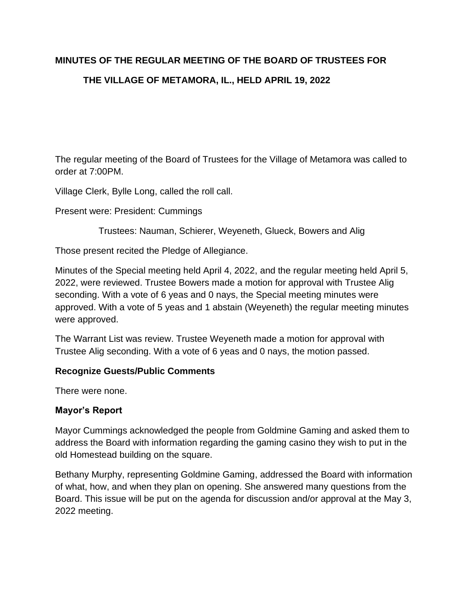# **MINUTES OF THE REGULAR MEETING OF THE BOARD OF TRUSTEES FOR THE VILLAGE OF METAMORA, IL., HELD APRIL 19, 2022**

The regular meeting of the Board of Trustees for the Village of Metamora was called to order at 7:00PM.

Village Clerk, Bylle Long, called the roll call.

Present were: President: Cummings

Trustees: Nauman, Schierer, Weyeneth, Glueck, Bowers and Alig

Those present recited the Pledge of Allegiance.

Minutes of the Special meeting held April 4, 2022, and the regular meeting held April 5, 2022, were reviewed. Trustee Bowers made a motion for approval with Trustee Alig seconding. With a vote of 6 yeas and 0 nays, the Special meeting minutes were approved. With a vote of 5 yeas and 1 abstain (Weyeneth) the regular meeting minutes were approved.

The Warrant List was review. Trustee Weyeneth made a motion for approval with Trustee Alig seconding. With a vote of 6 yeas and 0 nays, the motion passed.

#### **Recognize Guests/Public Comments**

There were none.

#### **Mayor's Report**

Mayor Cummings acknowledged the people from Goldmine Gaming and asked them to address the Board with information regarding the gaming casino they wish to put in the old Homestead building on the square.

Bethany Murphy, representing Goldmine Gaming, addressed the Board with information of what, how, and when they plan on opening. She answered many questions from the Board. This issue will be put on the agenda for discussion and/or approval at the May 3, 2022 meeting.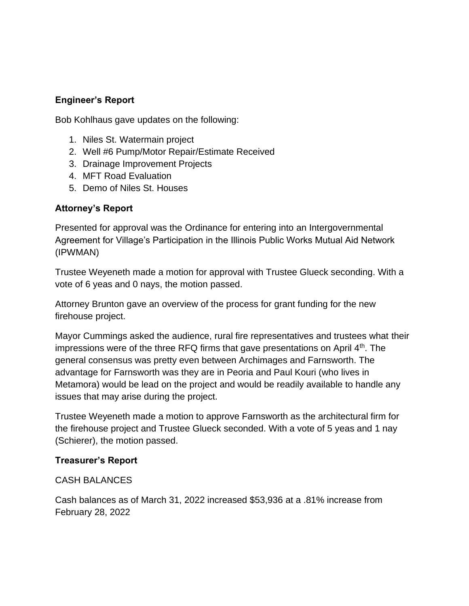## **Engineer's Report**

Bob Kohlhaus gave updates on the following:

- 1. Niles St. Watermain project
- 2. Well #6 Pump/Motor Repair/Estimate Received
- 3. Drainage Improvement Projects
- 4. MFT Road Evaluation
- 5. Demo of Niles St. Houses

### **Attorney's Report**

Presented for approval was the Ordinance for entering into an Intergovernmental Agreement for Village's Participation in the Illinois Public Works Mutual Aid Network (IPWMAN)

Trustee Weyeneth made a motion for approval with Trustee Glueck seconding. With a vote of 6 yeas and 0 nays, the motion passed.

Attorney Brunton gave an overview of the process for grant funding for the new firehouse project.

Mayor Cummings asked the audience, rural fire representatives and trustees what their impressions were of the three RFQ firms that gave presentations on April  $4<sup>th</sup>$ . The general consensus was pretty even between Archimages and Farnsworth. The advantage for Farnsworth was they are in Peoria and Paul Kouri (who lives in Metamora) would be lead on the project and would be readily available to handle any issues that may arise during the project.

Trustee Weyeneth made a motion to approve Farnsworth as the architectural firm for the firehouse project and Trustee Glueck seconded. With a vote of 5 yeas and 1 nay (Schierer), the motion passed.

#### **Treasurer's Report**

CASH BALANCES

Cash balances as of March 31, 2022 increased \$53,936 at a .81% increase from February 28, 2022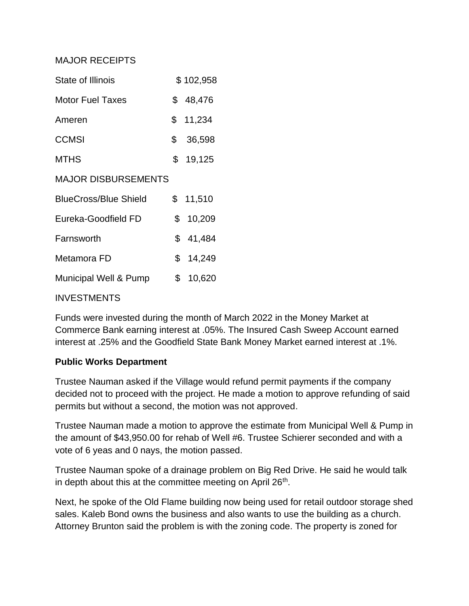#### MAJOR RECEIPTS

| State of Illinois            | \$102,958 |
|------------------------------|-----------|
| <b>Motor Fuel Taxes</b>      | \$48,476  |
| Ameren                       | \$11,234  |
| <b>CCMSI</b>                 | \$36,598  |
| <b>MTHS</b>                  | \$19,125  |
| <b>MAJOR DISBURSEMENTS</b>   |           |
| <b>BlueCross/Blue Shield</b> | \$11,510  |
| Eureka-Goodfield FD          | \$10,209  |
| Farnsworth                   | \$41,484  |
| Metamora FD                  | \$14,249  |
| Municipal Well & Pump        | \$10,620  |
|                              |           |

#### INVESTMENTS

Funds were invested during the month of March 2022 in the Money Market at Commerce Bank earning interest at .05%. The Insured Cash Sweep Account earned interest at .25% and the Goodfield State Bank Money Market earned interest at .1%.

#### **Public Works Department**

Trustee Nauman asked if the Village would refund permit payments if the company decided not to proceed with the project. He made a motion to approve refunding of said permits but without a second, the motion was not approved.

Trustee Nauman made a motion to approve the estimate from Municipal Well & Pump in the amount of \$43,950.00 for rehab of Well #6. Trustee Schierer seconded and with a vote of 6 yeas and 0 nays, the motion passed.

Trustee Nauman spoke of a drainage problem on Big Red Drive. He said he would talk in depth about this at the committee meeting on April 26<sup>th</sup>.

Next, he spoke of the Old Flame building now being used for retail outdoor storage shed sales. Kaleb Bond owns the business and also wants to use the building as a church. Attorney Brunton said the problem is with the zoning code. The property is zoned for